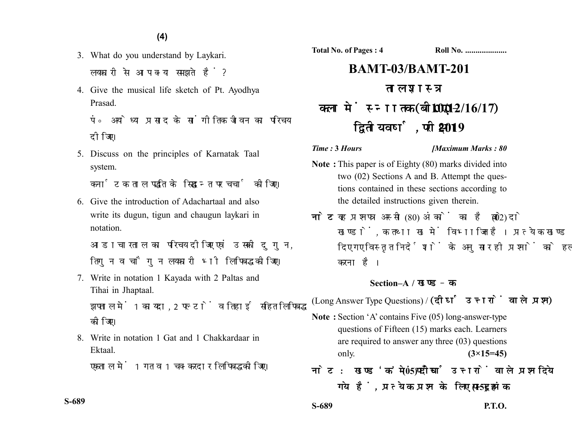**(4)**

- 3. What do you understand by Laykari. लयकारी से आप क्या समझते हैं?
- 4. Give the musical life sketch of Pt. Ayodhya Prasad.

फं अयोध्या प्रसाद के सांगीतिक जीवन का परिचय दीजिए।

5. Discuss on the principles of Karnatak Taal system.

कर्नाटक ताल पद्धति के सिद्धान्त पर चर्चा कोजिए।

6. Give the introduction of Adachartaal and also write its dugun, tigun and chaugun laykari in notation.

आडाचारताल का परिचय दीजिए एवं उसकी दुगुन, तिगन व चौगन लयकारी भी लिपिबद्ध कीजिए।

7. Write in notation 1 Kayada with 2 Paltas and Tihai in Jhaptaal.

झपताल में 1 कायदा, 2 पल्टों व तिहाई सहित लिपिबद्ध कोजिए।

8. Write in notation 1 Gat and 1 Chakkardaar in Ektaal.

एकताल में 1 गत व 1 चक्करदार लिपिबद्ध कीजिए।

## **BAMT-03/BAMT-201** ताल शास्त्र **कला में स्नातक (बी0ए0-10/12/16/17) 2019**

*Time :* **3** *Hours [Maximum Marks : 80*

- **Note :** This paper is of Eighty (80) marks divided into two (02) Sections A and B. Attempt the questions contained in these sections according to the detailed instructions given therein.
- नोट: यह प्रश्नपत्र अस्सी (80) अंकों का है जो दो (02) खण्डों. क तथा ख में विभाजित है। प्रत्येक खण्ड में दिए गए विस्तृत निर्देशों के अनुसार ही प्रश्नों को हल करना है।

## **Section–A /**

(Long Answer Type Questions) / (दीर्घ उत्तरों वाले प्रश्न)

- **Note :** Section 'A' contains Five (05) long-answer-type questions of Fifteen (15) marks each. Learners are required to answer any three (03) questions only. **(3×15=45)**
- नोट: खण्ड 'क' में पाँच (05) दीर्घ उत्तरों वाले प्रश्न दिये गये हैं. प्रत्येक प्रश्न के लिए पन्दह (15) अंक

**S-689 P.T.O.**

**S-689**